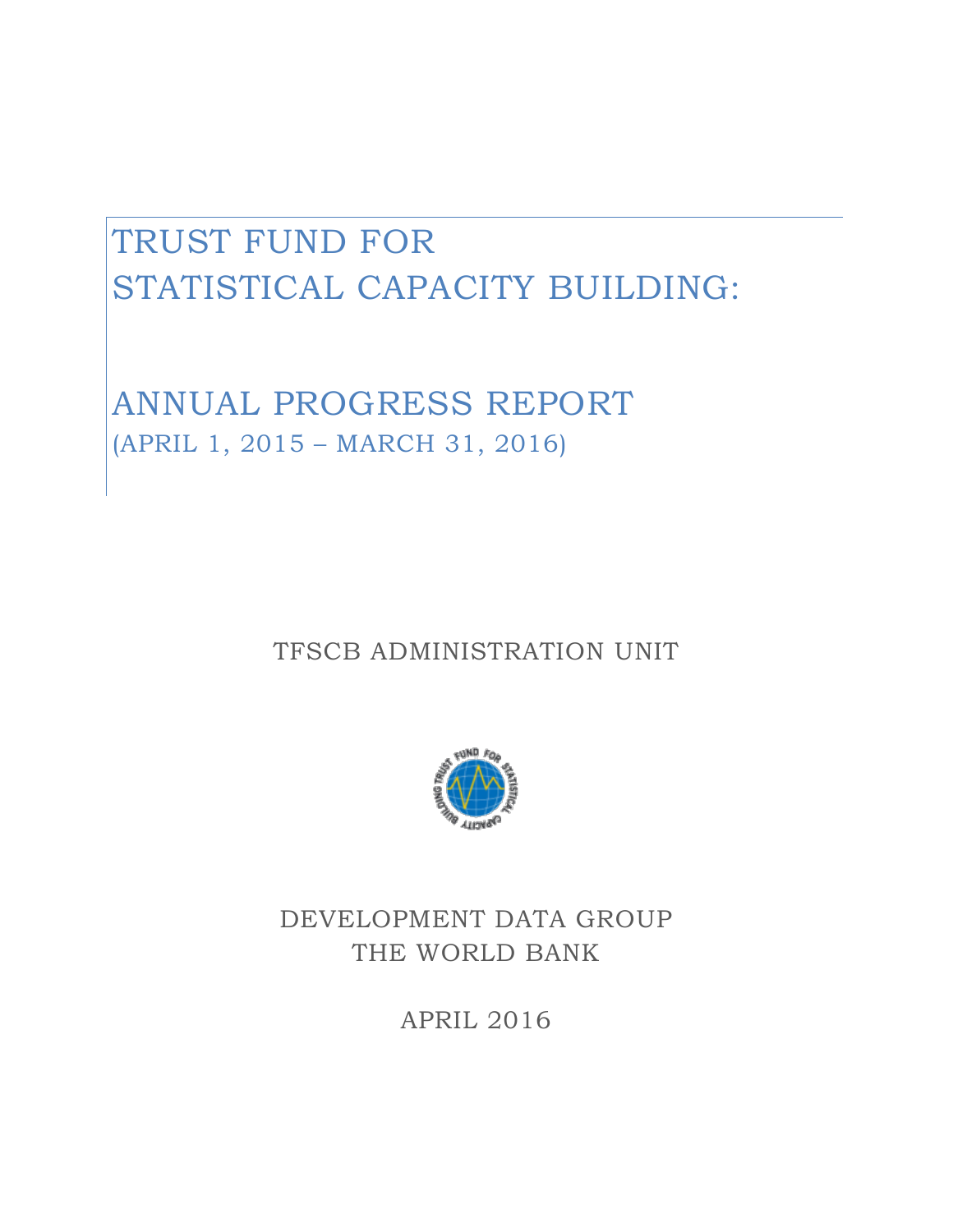# TRUST FUND FOR STATISTICAL CAPACITY BUILDING:

ANNUAL PROGRESS REPORT (APRIL 1, 2015 – MARCH 31, 2016)

TFSCB ADMINISTRATION UNIT



DEVELOPMENT DATA GROUP THE WORLD BANK

APRIL 2016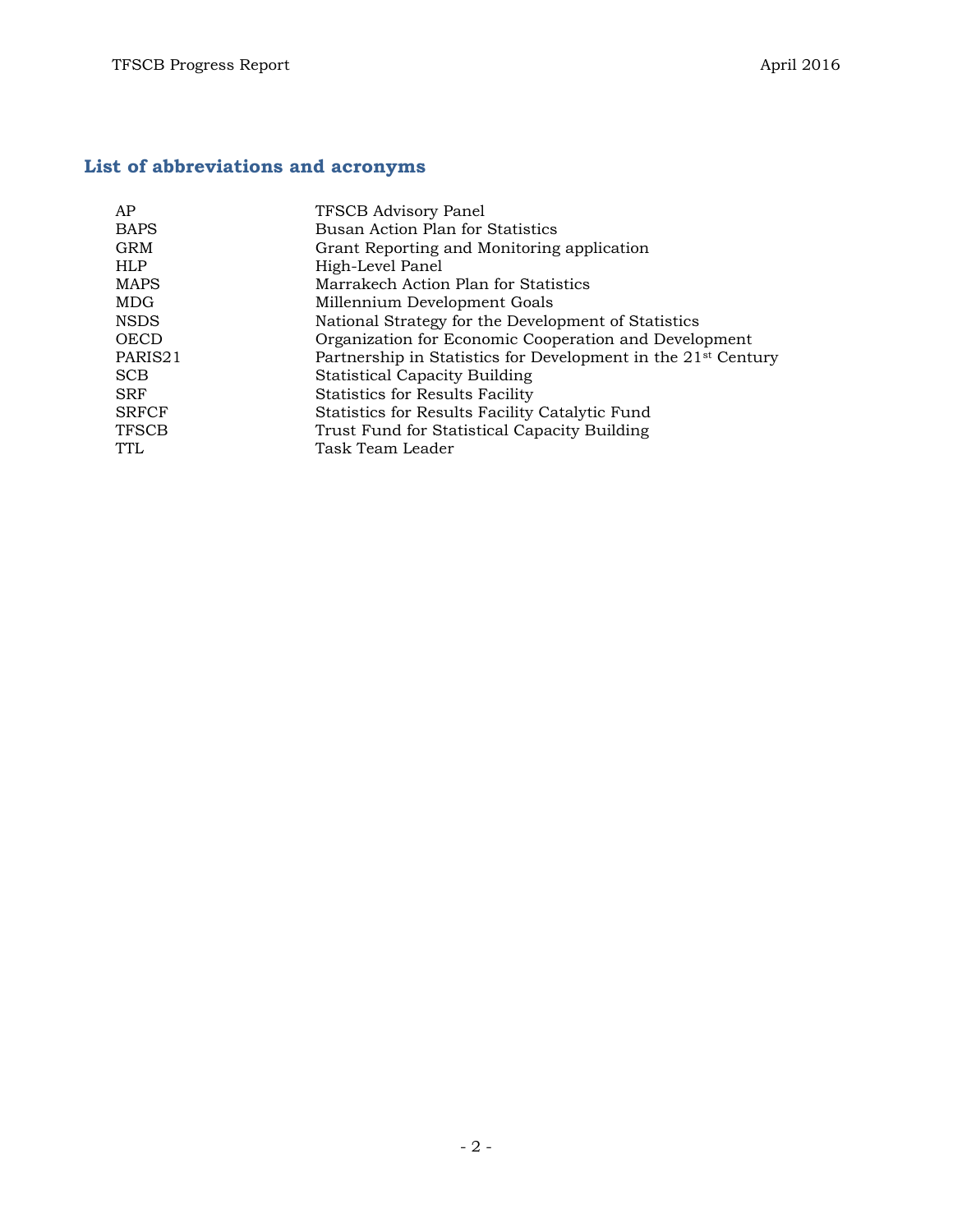# **List of abbreviations and acronyms**

| AP           | TFSCB Advisory Panel                                                      |
|--------------|---------------------------------------------------------------------------|
| <b>BAPS</b>  | Busan Action Plan for Statistics                                          |
| GRM          | Grant Reporting and Monitoring application                                |
| <b>HLP</b>   | High-Level Panel                                                          |
| MAPS         | Marrakech Action Plan for Statistics                                      |
| MDG          | Millennium Development Goals                                              |
| NSDS         | National Strategy for the Development of Statistics                       |
| OECD         | Organization for Economic Cooperation and Development                     |
| PARIS21      | Partnership in Statistics for Development in the 21 <sup>st</sup> Century |
| <b>SCB</b>   | <b>Statistical Capacity Building</b>                                      |
| <b>SRF</b>   | <b>Statistics for Results Facility</b>                                    |
| <b>SRFCF</b> | Statistics for Results Facility Catalytic Fund                            |
| TFSCB        | Trust Fund for Statistical Capacity Building                              |
| TTL          | Task Team Leader                                                          |
|              |                                                                           |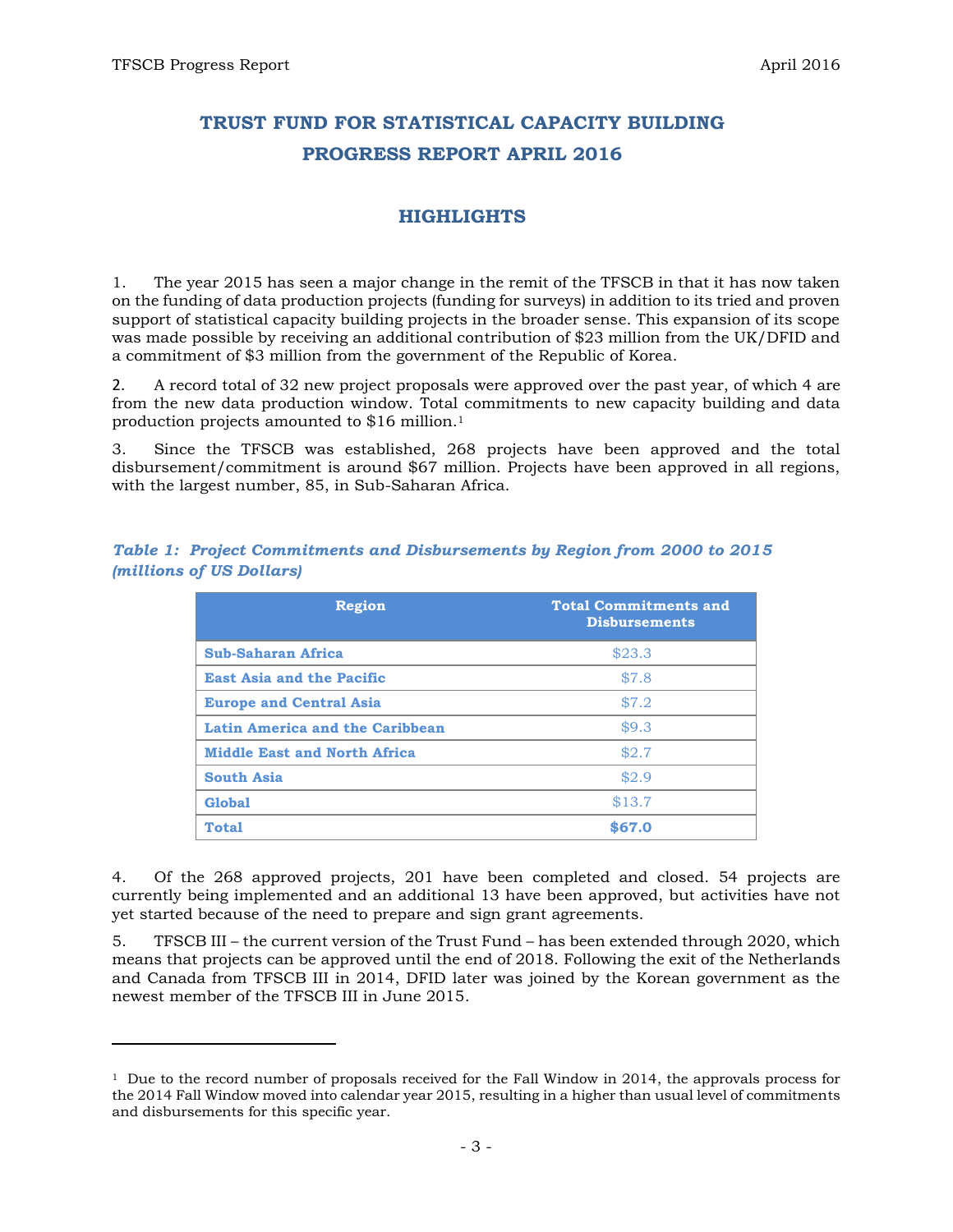$\overline{a}$ 

# **TRUST FUND FOR STATISTICAL CAPACITY BUILDING PROGRESS REPORT APRIL 2016**

# **HIGHLIGHTS**

1. The year 2015 has seen a major change in the remit of the TFSCB in that it has now taken on the funding of data production projects (funding for surveys) in addition to its tried and proven support of statistical capacity building projects in the broader sense. This expansion of its scope was made possible by receiving an additional contribution of \$23 million from the UK/DFID and a commitment of \$3 million from the government of the Republic of Korea.

2. A record total of 32 new project proposals were approved over the past year, of which 4 are from the new data production window. Total commitments to new capacity building and data production projects amounted to \$16 million.<sup>1</sup>

3. Since the TFSCB was established, 268 projects have been approved and the total disbursement/commitment is around \$67 million. Projects have been approved in all regions, with the largest number, 85, in Sub-Saharan Africa.

| <b>Region</b>                       | <b>Total Commitments and</b><br><b>Disbursements</b> |
|-------------------------------------|------------------------------------------------------|
| <b>Sub-Saharan Africa</b>           | \$23.3                                               |
| <b>East Asia and the Pacific</b>    | \$7.8                                                |
| <b>Europe and Central Asia</b>      | \$7.2                                                |
| Latin America and the Caribbean     | \$9.3                                                |
| <b>Middle East and North Africa</b> | \$2.7                                                |
| <b>South Asia</b>                   | \$2.9                                                |
| <b>Global</b>                       | \$13.7                                               |
| <b>Total</b>                        | \$67.0                                               |

*Table 1: Project Commitments and Disbursements by Region from 2000 to 2015 (millions of US Dollars)*

4. Of the 268 approved projects, 201 have been completed and closed. 54 projects are currently being implemented and an additional 13 have been approved, but activities have not yet started because of the need to prepare and sign grant agreements.

5. TFSCB III – the current version of the Trust Fund – has been extended through 2020, which means that projects can be approved until the end of 2018. Following the exit of the Netherlands and Canada from TFSCB III in 2014, DFID later was joined by the Korean government as the newest member of the TFSCB III in June 2015.

<sup>1</sup> Due to the record number of proposals received for the Fall Window in 2014, the approvals process for the 2014 Fall Window moved into calendar year 2015, resulting in a higher than usual level of commitments and disbursements for this specific year.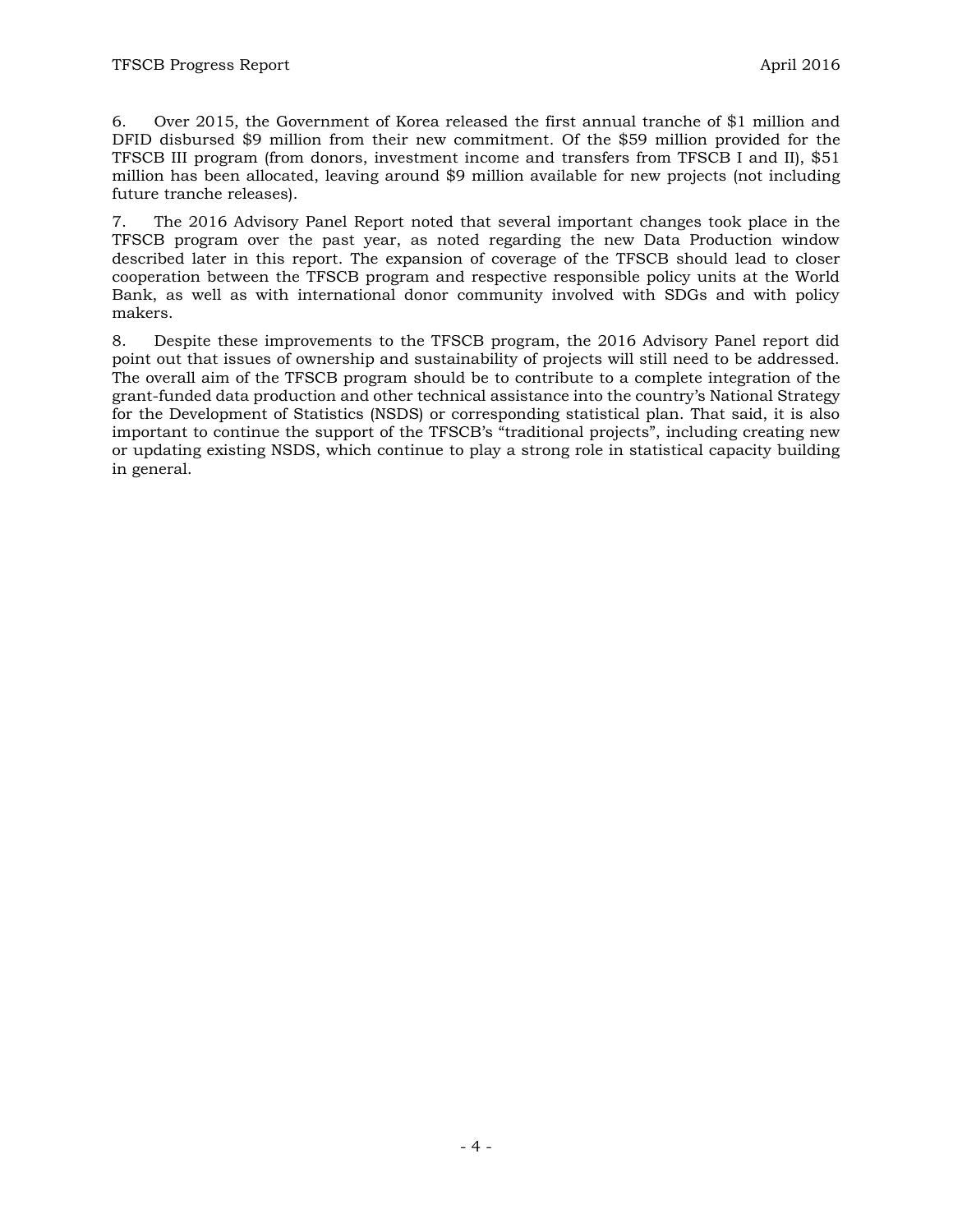6. Over 2015, the Government of Korea released the first annual tranche of \$1 million and DFID disbursed \$9 million from their new commitment. Of the \$59 million provided for the TFSCB III program (from donors, investment income and transfers from TFSCB I and II), \$51 million has been allocated, leaving around \$9 million available for new projects (not including future tranche releases).

7. The 2016 Advisory Panel Report noted that several important changes took place in the TFSCB program over the past year, as noted regarding the new Data Production window described later in this report. The expansion of coverage of the TFSCB should lead to closer cooperation between the TFSCB program and respective responsible policy units at the World Bank, as well as with international donor community involved with SDGs and with policy makers.

8. Despite these improvements to the TFSCB program, the 2016 Advisory Panel report did point out that issues of ownership and sustainability of projects will still need to be addressed. The overall aim of the TFSCB program should be to contribute to a complete integration of the grant-funded data production and other technical assistance into the country's National Strategy for the Development of Statistics (NSDS) or corresponding statistical plan. That said, it is also important to continue the support of the TFSCB's "traditional projects", including creating new or updating existing NSDS, which continue to play a strong role in statistical capacity building in general.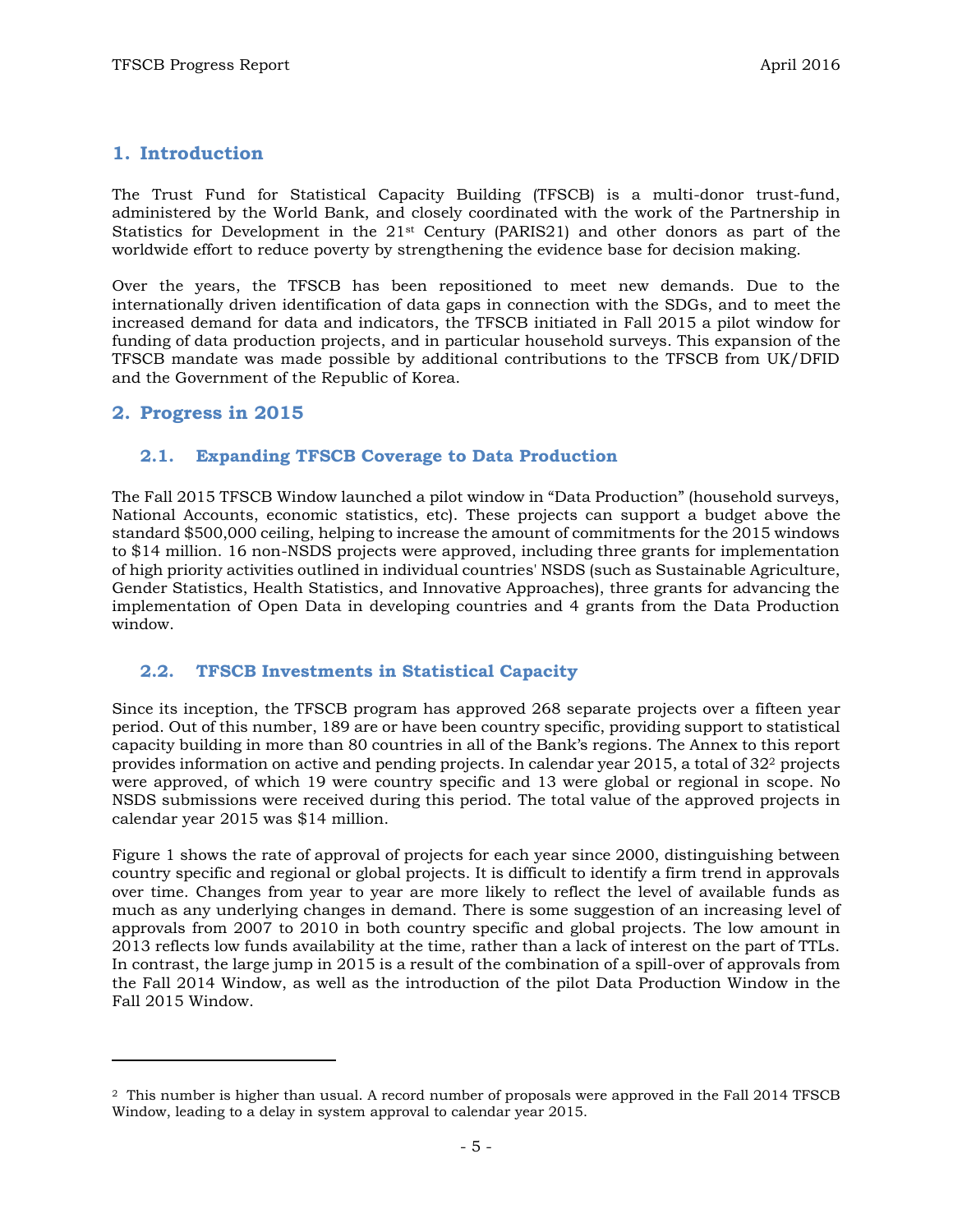## **1. Introduction**

The Trust Fund for Statistical Capacity Building (TFSCB) is a multi-donor trust-fund, administered by the World Bank, and closely coordinated with the work of the Partnership in Statistics for Development in the 21st Century (PARIS21) and other donors as part of the worldwide effort to reduce poverty by strengthening the evidence base for decision making.

Over the years, the TFSCB has been repositioned to meet new demands. Due to the internationally driven identification of data gaps in connection with the SDGs, and to meet the increased demand for data and indicators, the TFSCB initiated in Fall 2015 a pilot window for funding of data production projects, and in particular household surveys. This expansion of the TFSCB mandate was made possible by additional contributions to the TFSCB from UK/DFID and the Government of the Republic of Korea.

### **2. Progress in 2015**

l

#### **2.1. Expanding TFSCB Coverage to Data Production**

The Fall 2015 TFSCB Window launched a pilot window in "Data Production" (household surveys, National Accounts, economic statistics, etc). These projects can support a budget above the standard \$500,000 ceiling, helping to increase the amount of commitments for the 2015 windows to \$14 million. 16 non-NSDS projects were approved, including three grants for implementation of high priority activities outlined in individual countries' NSDS (such as Sustainable Agriculture, Gender Statistics, Health Statistics, and Innovative Approaches), three grants for advancing the implementation of Open Data in developing countries and 4 grants from the Data Production window.

### **2.2. TFSCB Investments in Statistical Capacity**

Since its inception, the TFSCB program has approved 268 separate projects over a fifteen year period. Out of this number, 189 are or have been country specific, providing support to statistical capacity building in more than 80 countries in all of the Bank's regions. The Annex to this report provides information on active and pending projects. In calendar year 2015, a total of 32<sup>2</sup> projects were approved, of which 19 were country specific and 13 were global or regional in scope. No NSDS submissions were received during this period. The total value of the approved projects in calendar year 2015 was \$14 million.

Figure 1 shows the rate of approval of projects for each year since 2000, distinguishing between country specific and regional or global projects. It is difficult to identify a firm trend in approvals over time. Changes from year to year are more likely to reflect the level of available funds as much as any underlying changes in demand. There is some suggestion of an increasing level of approvals from 2007 to 2010 in both country specific and global projects. The low amount in 2013 reflects low funds availability at the time, rather than a lack of interest on the part of TTLs. In contrast, the large jump in 2015 is a result of the combination of a spill-over of approvals from the Fall 2014 Window, as well as the introduction of the pilot Data Production Window in the Fall 2015 Window.

<sup>2</sup> This number is higher than usual. A record number of proposals were approved in the Fall 2014 TFSCB Window, leading to a delay in system approval to calendar year 2015.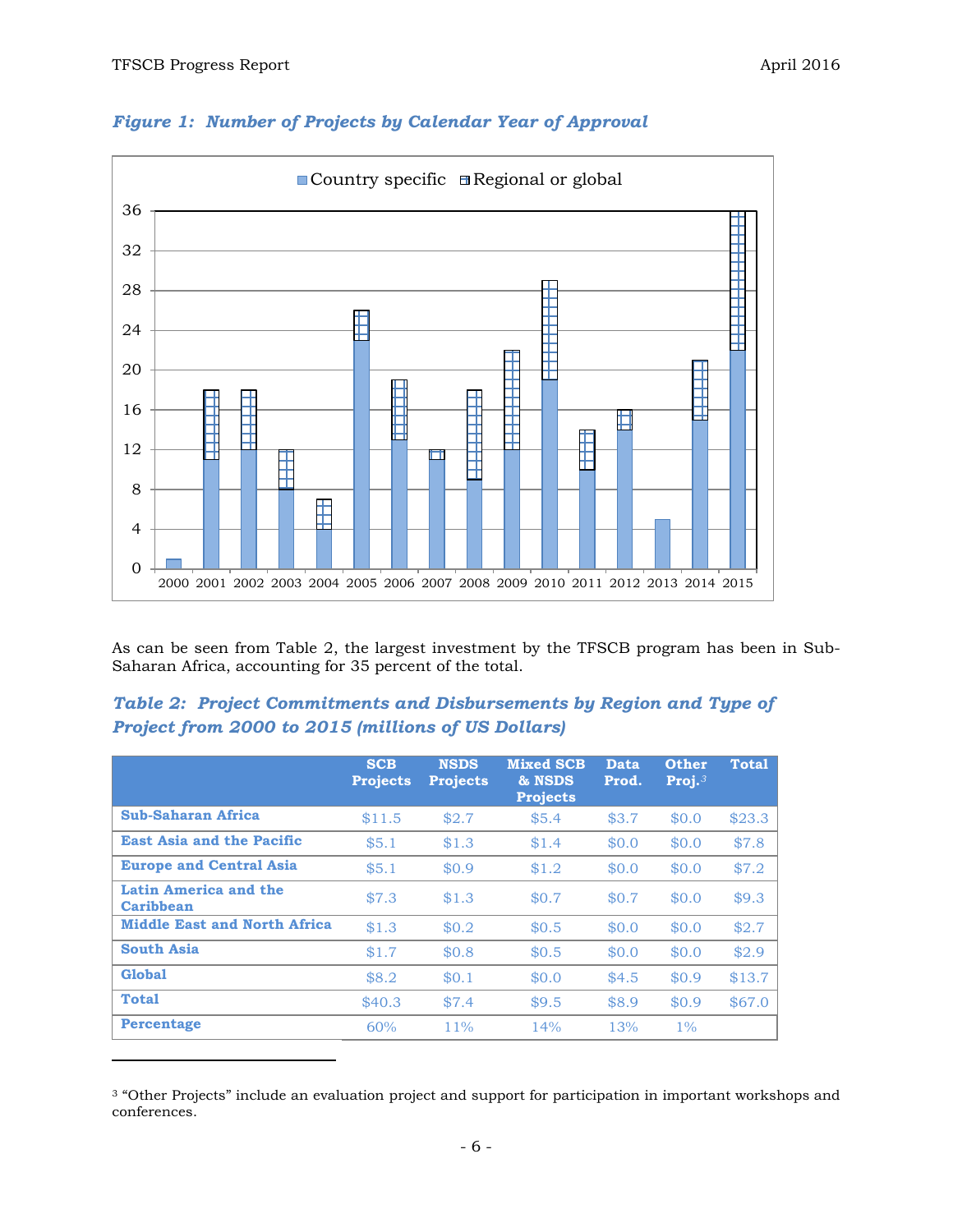l



# *Figure 1: Number of Projects by Calendar Year of Approval*

As can be seen from Table 2, the largest investment by the TFSCB program has been in Sub-Saharan Africa, accounting for 35 percent of the total.

## *Table 2: Project Commitments and Disbursements by Region and Type of Project from 2000 to 2015 (millions of US Dollars)*

|                                           | <b>SCB</b><br><b>Projects</b> | <b>NSDS</b><br><b>Projects</b> | <b>Mixed SCB</b><br>& NSDS<br><b>Projects</b> | Data<br>Prod. | <b>Other</b><br>Proj. $3$ | <b>Total</b> |
|-------------------------------------------|-------------------------------|--------------------------------|-----------------------------------------------|---------------|---------------------------|--------------|
| <b>Sub-Saharan Africa</b>                 | \$11.5                        | \$2.7                          | \$5.4                                         | \$3.7         | \$0.0                     | \$23.3       |
| <b>East Asia and the Pacific</b>          | \$5.1                         | \$1.3                          | \$1.4                                         | \$0.0         | \$0.0                     | \$7.8        |
| <b>Europe and Central Asia</b>            | \$5.1                         | \$0.9                          | \$1.2                                         | \$0.0         | \$0.0                     | \$7.2        |
| Latin America and the<br><b>Caribbean</b> | \$7.3                         | \$1.3                          | \$0.7                                         | \$0.7         | \$0.0                     | \$9.3        |
| <b>Middle East and North Africa</b>       | \$1.3                         | \$0.2\$                        | \$0.5                                         | \$0.0         | \$0.0                     | \$2.7        |
| <b>South Asia</b>                         | \$1.7                         | \$0.8                          | \$0.5                                         | \$0.0         | \$0.0                     | \$2.9        |
| <b>Global</b>                             | \$8.2                         | \$0.1                          | \$0.0                                         | \$4.5         | \$0.9                     | \$13.7       |
| <b>Total</b>                              | \$40.3                        | \$7.4                          | \$9.5                                         | \$8.9         | \$0.9                     | \$67.0       |
| <b>Percentage</b>                         | 60%                           | $11\%$                         | 14%                                           | 13%           | $1\%$                     |              |

<sup>3</sup> "Other Projects" include an evaluation project and support for participation in important workshops and conferences.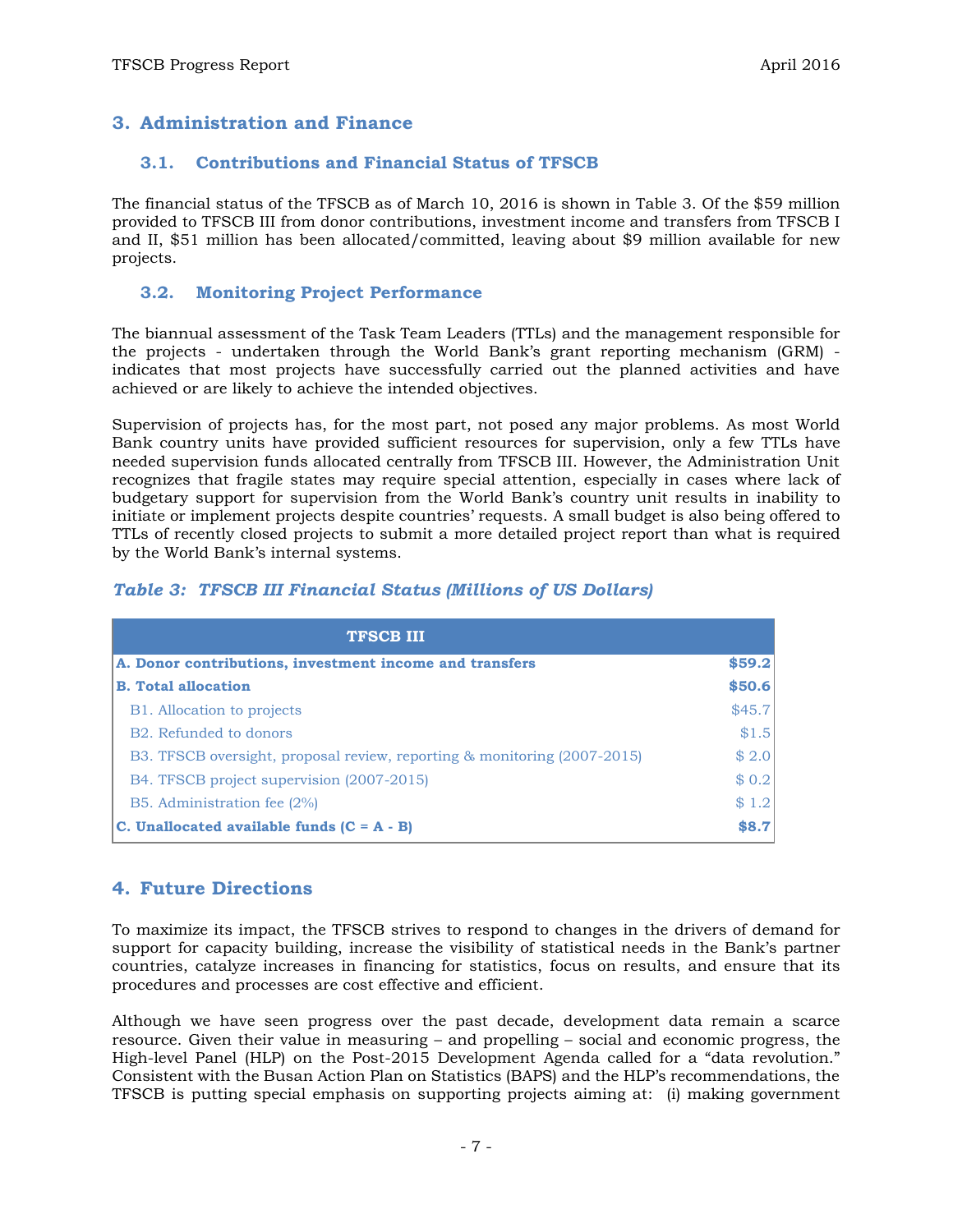## **3. Administration and Finance**

#### **3.1. Contributions and Financial Status of TFSCB**

The financial status of the TFSCB as of March 10, 2016 is shown in Table 3. Of the \$59 million provided to TFSCB III from donor contributions, investment income and transfers from TFSCB I and II, \$51 million has been allocated/committed, leaving about \$9 million available for new projects.

#### **3.2. Monitoring Project Performance**

The biannual assessment of the Task Team Leaders (TTLs) and the management responsible for the projects - undertaken through the World Bank's grant reporting mechanism (GRM) indicates that most projects have successfully carried out the planned activities and have achieved or are likely to achieve the intended objectives.

Supervision of projects has, for the most part, not posed any major problems. As most World Bank country units have provided sufficient resources for supervision, only a few TTLs have needed supervision funds allocated centrally from TFSCB III. However, the Administration Unit recognizes that fragile states may require special attention, especially in cases where lack of budgetary support for supervision from the World Bank's country unit results in inability to initiate or implement projects despite countries' requests. A small budget is also being offered to TTLs of recently closed projects to submit a more detailed project report than what is required by the World Bank's internal systems.

#### *Table 3: TFSCB III Financial Status (Millions of US Dollars)*

| <b>TFSCB III</b>                                                         |        |  |  |
|--------------------------------------------------------------------------|--------|--|--|
| A. Donor contributions, investment income and transfers                  |        |  |  |
| <b>B. Total allocation</b>                                               |        |  |  |
| B1. Allocation to projects                                               | \$45.7 |  |  |
| B <sub>2</sub> . Refunded to donors                                      | \$1.5  |  |  |
| B3. TFSCB oversight, proposal review, reporting & monitoring (2007-2015) | \$2.0  |  |  |
| B4. TFSCB project supervision (2007-2015)                                | \$0.2  |  |  |
| B5. Administration fee (2%)                                              | \$1.2  |  |  |
| C. Unallocated available funds $(C = A - B)$                             | \$8.7  |  |  |

### **4. Future Directions**

To maximize its impact, the TFSCB strives to respond to changes in the drivers of demand for support for capacity building, increase the visibility of statistical needs in the Bank's partner countries, catalyze increases in financing for statistics, focus on results, and ensure that its procedures and processes are cost effective and efficient.

Although we have seen progress over the past decade, development data remain a scarce resource. Given their value in measuring – and propelling – social and economic progress, the High-level Panel (HLP) on the Post-2015 Development Agenda called for a "data revolution." Consistent with the Busan Action Plan on Statistics (BAPS) and the HLP's recommendations, the TFSCB is putting special emphasis on supporting projects aiming at: (i) making government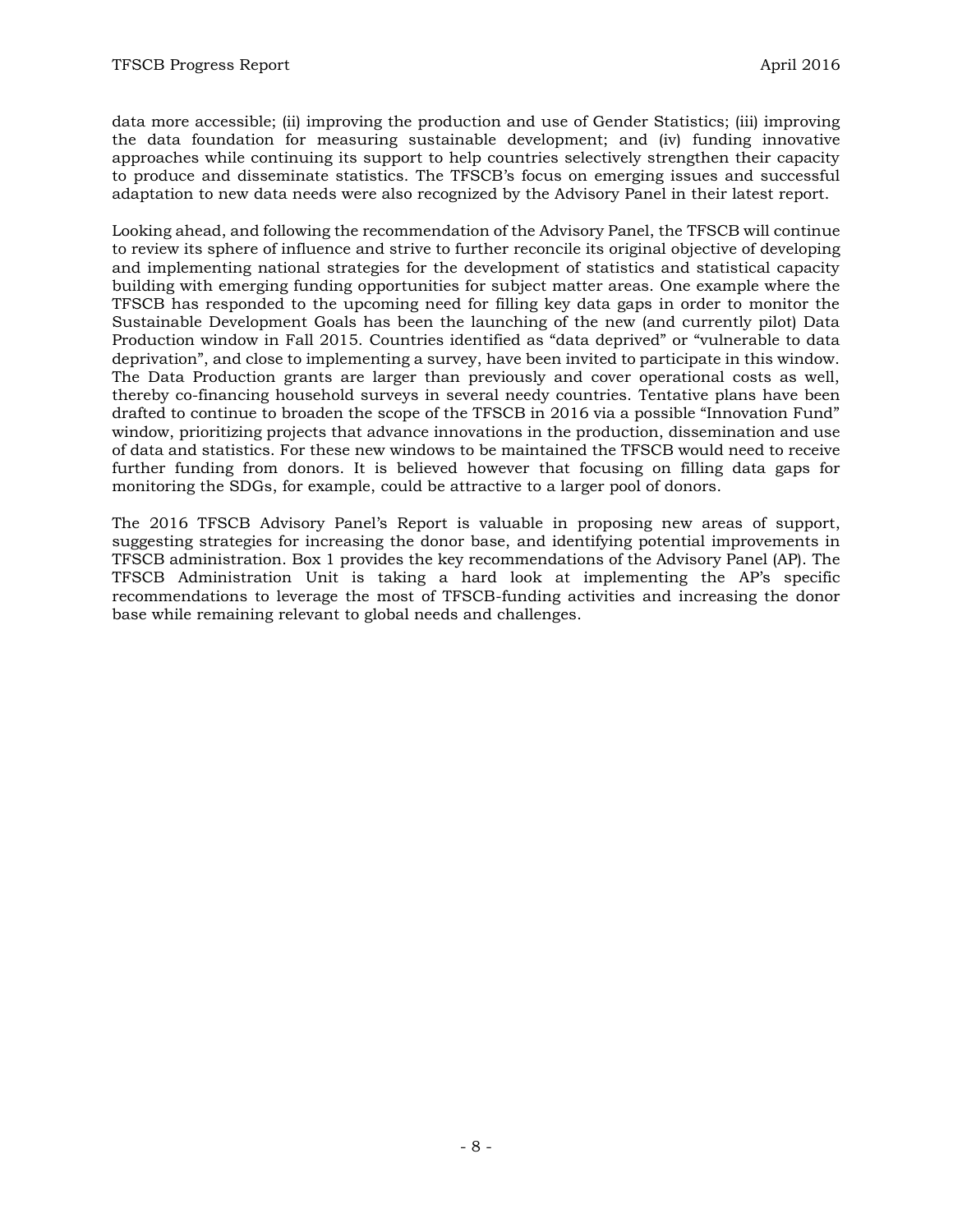data more accessible; (ii) improving the production and use of Gender Statistics; (iii) improving the data foundation for measuring sustainable development; and (iv) funding innovative approaches while continuing its support to help countries selectively strengthen their capacity to produce and disseminate statistics. The TFSCB's focus on emerging issues and successful adaptation to new data needs were also recognized by the Advisory Panel in their latest report.

Looking ahead, and following the recommendation of the Advisory Panel, the TFSCB will continue to review its sphere of influence and strive to further reconcile its original objective of developing and implementing national strategies for the development of statistics and statistical capacity building with emerging funding opportunities for subject matter areas. One example where the TFSCB has responded to the upcoming need for filling key data gaps in order to monitor the Sustainable Development Goals has been the launching of the new (and currently pilot) Data Production window in Fall 2015. Countries identified as "data deprived" or "vulnerable to data deprivation", and close to implementing a survey, have been invited to participate in this window. The Data Production grants are larger than previously and cover operational costs as well, thereby co-financing household surveys in several needy countries. Tentative plans have been drafted to continue to broaden the scope of the TFSCB in 2016 via a possible "Innovation Fund" window, prioritizing projects that advance innovations in the production, dissemination and use of data and statistics. For these new windows to be maintained the TFSCB would need to receive further funding from donors. It is believed however that focusing on filling data gaps for monitoring the SDGs, for example, could be attractive to a larger pool of donors.

The 2016 TFSCB Advisory Panel's Report is valuable in proposing new areas of support, suggesting strategies for increasing the donor base, and identifying potential improvements in TFSCB administration. Box 1 provides the key recommendations of the Advisory Panel (AP). The TFSCB Administration Unit is taking a hard look at implementing the AP's specific recommendations to leverage the most of TFSCB-funding activities and increasing the donor base while remaining relevant to global needs and challenges.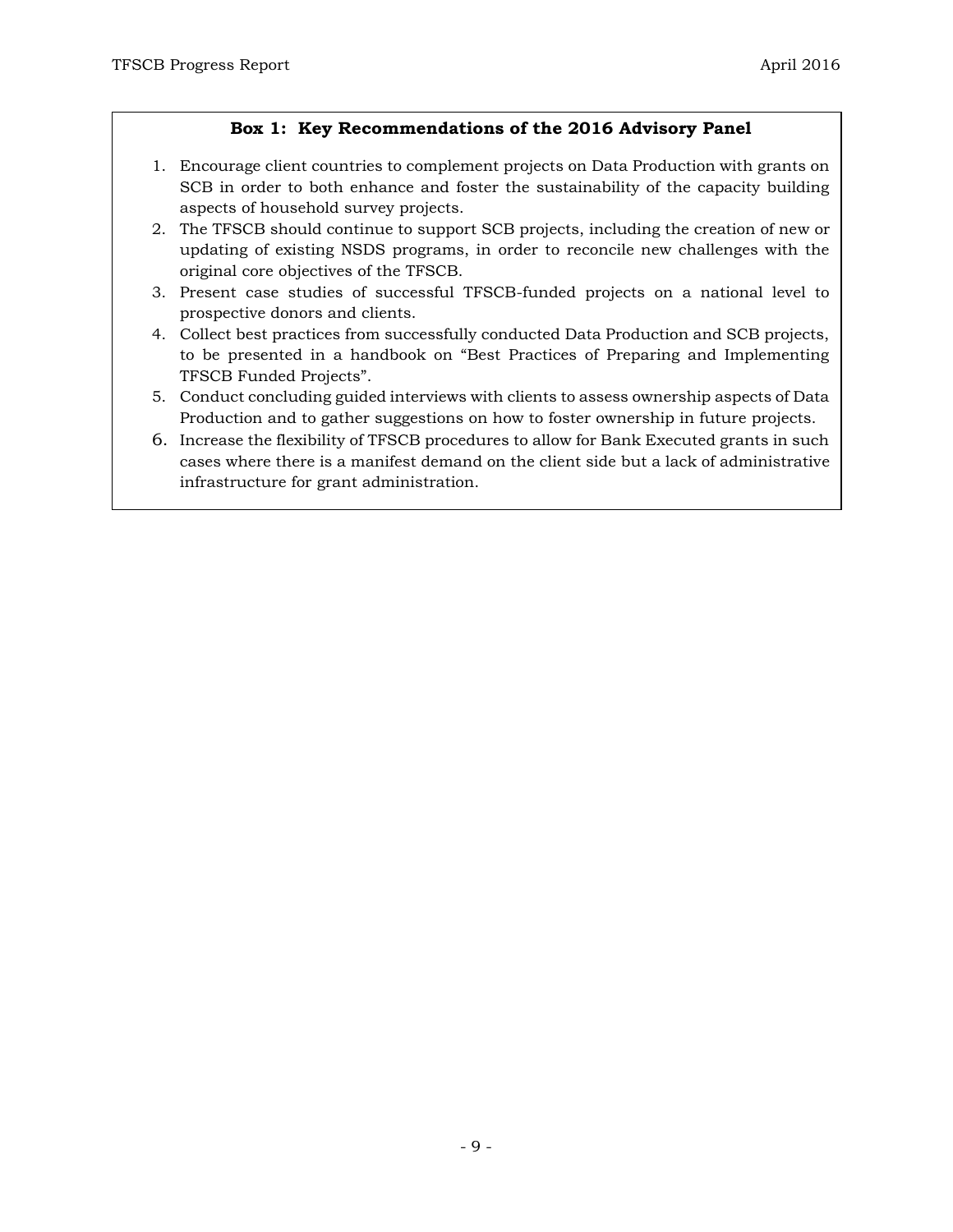# **Box 1: Key Recommendations of the 2016 Advisory Panel**

- 1. Encourage client countries to complement projects on Data Production with grants on SCB in order to both enhance and foster the sustainability of the capacity building aspects of household survey projects.
- 2. The TFSCB should continue to support SCB projects, including the creation of new or updating of existing NSDS programs, in order to reconcile new challenges with the original core objectives of the TFSCB.
- 3. Present case studies of successful TFSCB-funded projects on a national level to prospective donors and clients.
- 4. Collect best practices from successfully conducted Data Production and SCB projects, to be presented in a handbook on "Best Practices of Preparing and Implementing TFSCB Funded Projects".
- 5. Conduct concluding guided interviews with clients to assess ownership aspects of Data Production and to gather suggestions on how to foster ownership in future projects.
- 6. Increase the flexibility of TFSCB procedures to allow for Bank Executed grants in such cases where there is a manifest demand on the client side but a lack of administrative infrastructure for grant administration.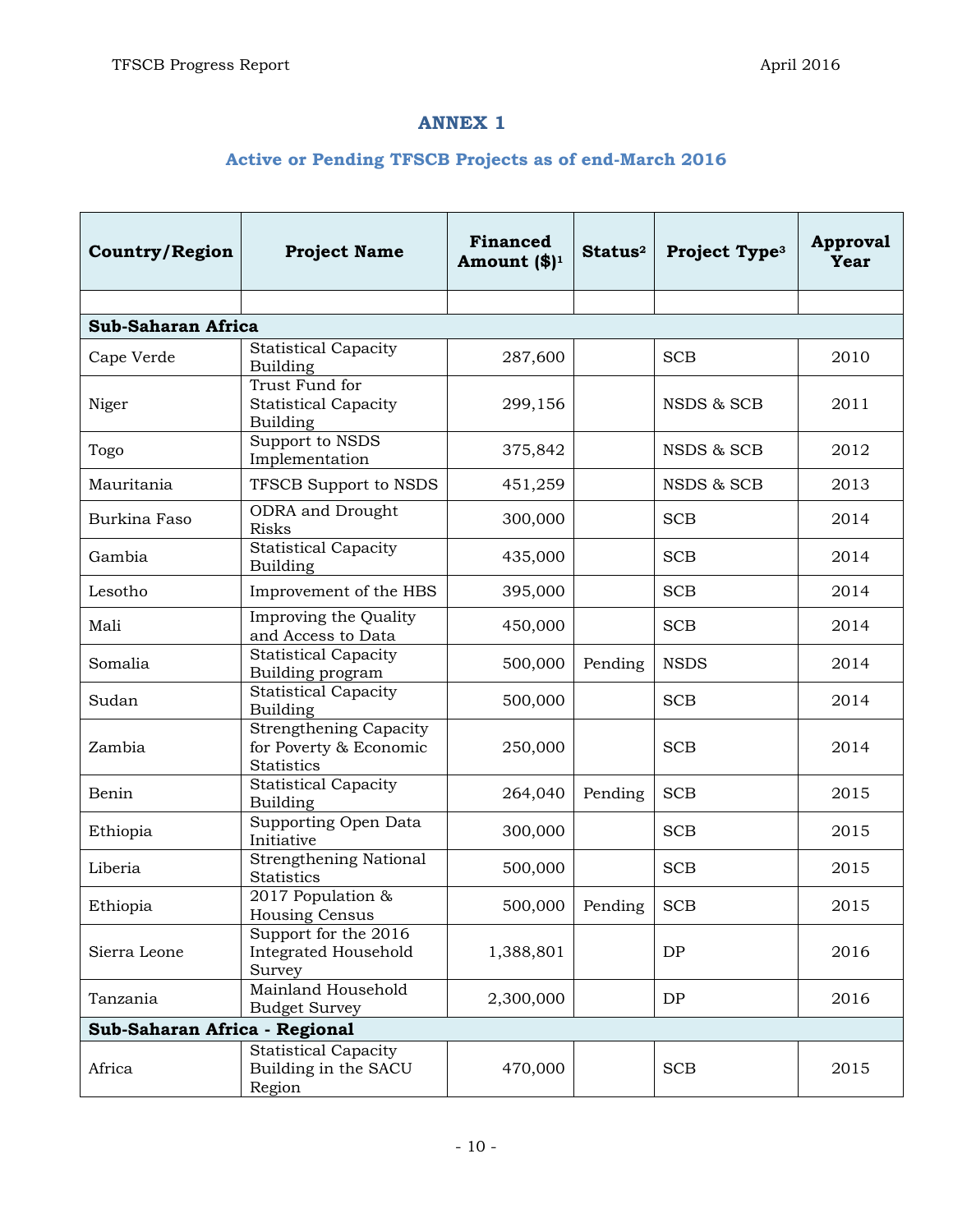# **ANNEX 1**

# **Active or Pending TFSCB Projects as of end-March 2016**

| <b>Country/Region</b>         | <b>Project Name</b>                                                          | <b>Financed</b><br>Amount $(\$)^1$ | Status <sup>2</sup> | Project Type <sup>3</sup> | <b>Approval</b><br><b>Year</b> |  |
|-------------------------------|------------------------------------------------------------------------------|------------------------------------|---------------------|---------------------------|--------------------------------|--|
|                               |                                                                              |                                    |                     |                           |                                |  |
| <b>Sub-Saharan Africa</b>     |                                                                              |                                    |                     |                           |                                |  |
| Cape Verde                    | <b>Statistical Capacity</b><br>Building                                      | 287,600                            |                     | <b>SCB</b>                | 2010                           |  |
| Niger                         | Trust Fund for<br><b>Statistical Capacity</b><br>Building                    | 299,156                            |                     | NSDS & SCB                | 2011                           |  |
| Togo                          | Support to NSDS<br>Implementation                                            | 375,842                            |                     | NSDS & SCB                | 2012                           |  |
| Mauritania                    | TFSCB Support to NSDS                                                        | 451,259                            |                     | NSDS & SCB                | 2013                           |  |
| Burkina Faso                  | ODRA and Drought<br><b>Risks</b>                                             | 300,000                            |                     | <b>SCB</b>                | 2014                           |  |
| Gambia                        | <b>Statistical Capacity</b><br>Building                                      | 435,000                            |                     | <b>SCB</b>                | 2014                           |  |
| Lesotho                       | Improvement of the HBS                                                       | 395,000                            |                     | <b>SCB</b>                | 2014                           |  |
| Mali                          | Improving the Quality<br>and Access to Data                                  | 450,000                            |                     | <b>SCB</b>                | 2014                           |  |
| Somalia                       | <b>Statistical Capacity</b><br>Building program                              | 500,000                            | Pending             | <b>NSDS</b>               | 2014                           |  |
| Sudan                         | <b>Statistical Capacity</b><br>Building                                      | 500,000                            |                     | <b>SCB</b>                | 2014                           |  |
| Zambia                        | <b>Strengthening Capacity</b><br>for Poverty & Economic<br><b>Statistics</b> | 250,000                            |                     | <b>SCB</b>                | 2014                           |  |
| Benin                         | <b>Statistical Capacity</b><br><b>Building</b>                               | 264,040                            | Pending             | <b>SCB</b>                | 2015                           |  |
| Ethiopia                      | Supporting Open Data<br>Initiative                                           | 300,000                            |                     | <b>SCB</b>                | 2015                           |  |
| Liberia                       | <b>Strengthening National</b><br>Statistics                                  | 500,000                            |                     | <b>SCB</b>                | 2015                           |  |
| Ethiopia                      | 2017 Population &<br>Housing Census                                          | 500,000                            | Pending             | <b>SCB</b>                | 2015                           |  |
| Sierra Leone                  | Support for the 2016<br>Integrated Household<br>Survey                       | 1,388,801                          |                     | DP                        | 2016                           |  |
| Tanzania                      | Mainland Household<br><b>Budget Survey</b>                                   | 2,300,000                          |                     | DP                        | 2016                           |  |
| Sub-Saharan Africa - Regional |                                                                              |                                    |                     |                           |                                |  |
| Africa                        | <b>Statistical Capacity</b><br>Building in the SACU<br>Region                | 470,000                            |                     | <b>SCB</b>                | 2015                           |  |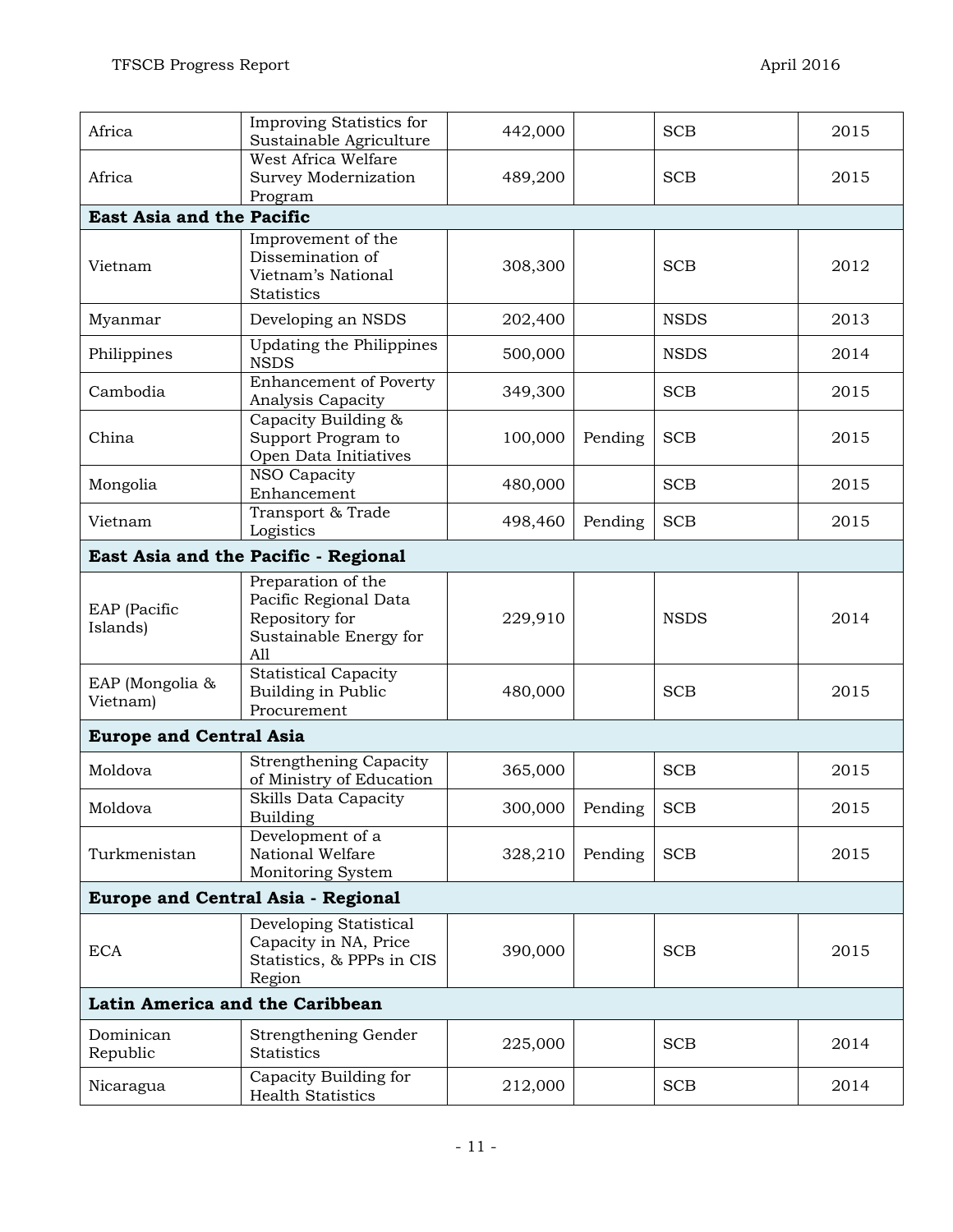| Africa                                    | Improving Statistics for<br>Sustainable Agriculture                                            | 442,000 |         | <b>SCB</b>  | 2015 |  |
|-------------------------------------------|------------------------------------------------------------------------------------------------|---------|---------|-------------|------|--|
| Africa                                    | West Africa Welfare<br>Survey Modernization<br>Program                                         | 489,200 |         | <b>SCB</b>  | 2015 |  |
| East Asia and the Pacific                 |                                                                                                |         |         |             |      |  |
| Vietnam                                   | Improvement of the<br>Dissemination of<br>Vietnam's National<br>Statistics                     | 308,300 |         | <b>SCB</b>  | 2012 |  |
| Myanmar                                   | Developing an NSDS                                                                             | 202,400 |         | <b>NSDS</b> | 2013 |  |
| Philippines                               | Updating the Philippines<br><b>NSDS</b>                                                        | 500,000 |         | <b>NSDS</b> | 2014 |  |
| Cambodia                                  | <b>Enhancement of Poverty</b><br>Analysis Capacity                                             | 349,300 |         | <b>SCB</b>  | 2015 |  |
| China                                     | Capacity Building &<br>Support Program to<br>Open Data Initiatives                             | 100,000 | Pending | <b>SCB</b>  | 2015 |  |
| Mongolia                                  | NSO Capacity<br>Enhancement                                                                    | 480,000 |         | <b>SCB</b>  | 2015 |  |
| Vietnam                                   | Transport & Trade<br>Logistics                                                                 | 498,460 | Pending | <b>SCB</b>  | 2015 |  |
|                                           | East Asia and the Pacific - Regional                                                           |         |         |             |      |  |
| EAP (Pacific<br>Islands)                  | Preparation of the<br>Pacific Regional Data<br>Repository for<br>Sustainable Energy for<br>A11 | 229,910 |         | <b>NSDS</b> | 2014 |  |
| EAP (Mongolia &<br>Vietnam)               | <b>Statistical Capacity</b><br>Building in Public<br>Procurement                               | 480,000 |         | <b>SCB</b>  | 2015 |  |
| <b>Europe and Central Asia</b>            |                                                                                                |         |         |             |      |  |
| Moldova                                   | <b>Strengthening Capacity</b><br>of Ministry of Education                                      | 365,000 |         | <b>SCB</b>  | 2015 |  |
| Moldova                                   | Skills Data Capacity<br><b>Building</b>                                                        | 300,000 | Pending | <b>SCB</b>  | 2015 |  |
| Turkmenistan                              | Development of a<br>National Welfare<br>Monitoring System                                      | 328,210 | Pending | <b>SCB</b>  | 2015 |  |
| <b>Europe and Central Asia - Regional</b> |                                                                                                |         |         |             |      |  |
| <b>ECA</b>                                | Developing Statistical<br>Capacity in NA, Price<br>Statistics, & PPPs in CIS<br>Region         | 390,000 |         | <b>SCB</b>  | 2015 |  |
| Latin America and the Caribbean           |                                                                                                |         |         |             |      |  |
| Dominican<br>Republic                     | Strengthening Gender<br>Statistics                                                             | 225,000 |         | <b>SCB</b>  | 2014 |  |
| Nicaragua                                 | Capacity Building for<br><b>Health Statistics</b>                                              | 212,000 |         | <b>SCB</b>  | 2014 |  |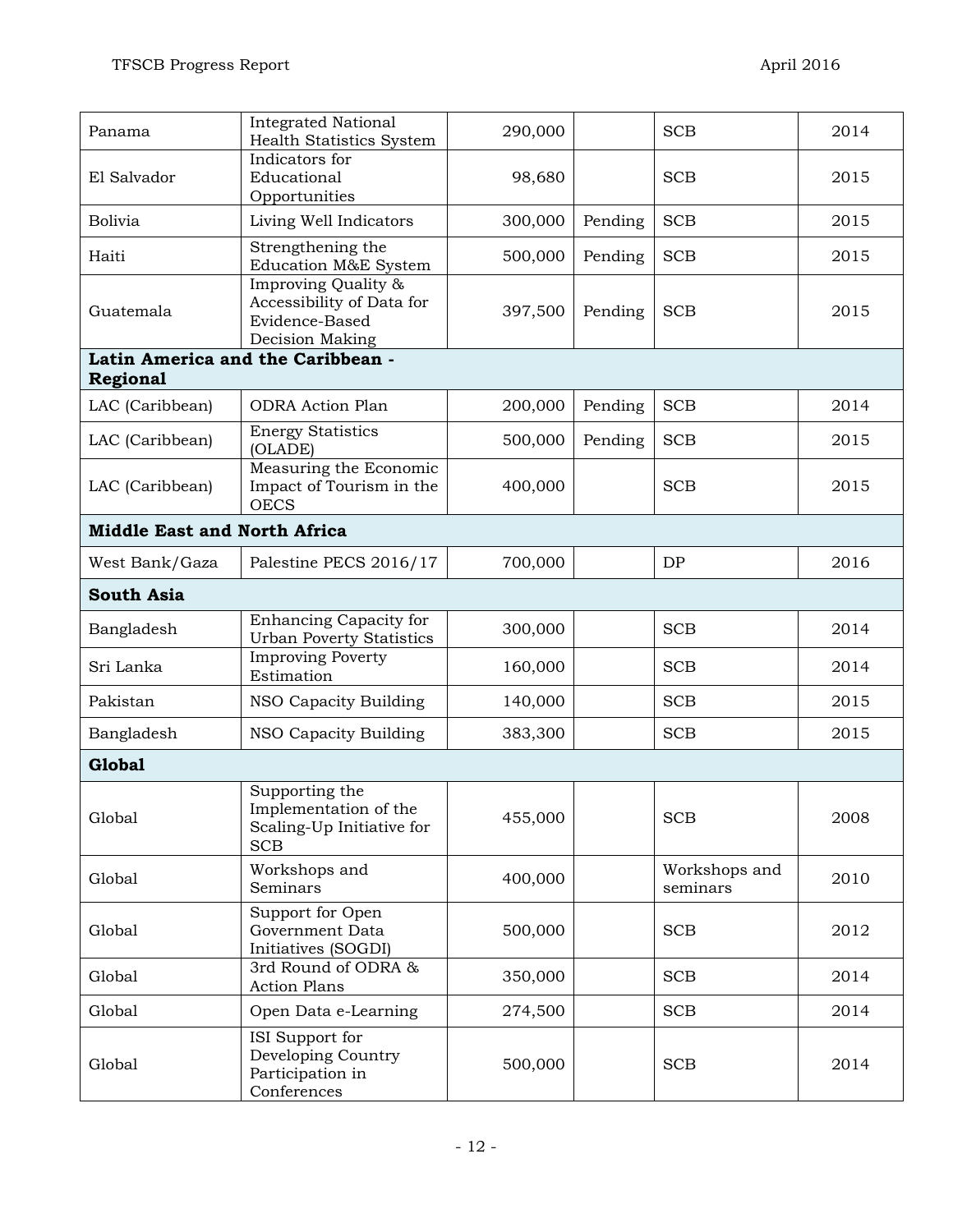| Panama            | <b>Integrated National</b><br><b>Health Statistics System</b>                         | 290,000 |         | <b>SCB</b>                | 2014 |  |  |  |
|-------------------|---------------------------------------------------------------------------------------|---------|---------|---------------------------|------|--|--|--|
| El Salvador       | Indicators for<br>Educational<br>Opportunities                                        | 98,680  |         | <b>SCB</b>                | 2015 |  |  |  |
| <b>Bolivia</b>    | Living Well Indicators                                                                | 300,000 | Pending | <b>SCB</b>                | 2015 |  |  |  |
| Haiti             | Strengthening the<br>Education M&E System                                             | 500,000 | Pending | <b>SCB</b>                | 2015 |  |  |  |
| Guatemala         | Improving Quality &<br>Accessibility of Data for<br>Evidence-Based<br>Decision Making | 397,500 | Pending | <b>SCB</b>                | 2015 |  |  |  |
|                   | Latin America and the Caribbean -                                                     |         |         |                           |      |  |  |  |
| <b>Regional</b>   |                                                                                       |         |         |                           |      |  |  |  |
| LAC (Caribbean)   | <b>ODRA</b> Action Plan                                                               | 200,000 | Pending | <b>SCB</b>                | 2014 |  |  |  |
| LAC (Caribbean)   | <b>Energy Statistics</b><br>(OLADE)                                                   | 500,000 | Pending | <b>SCB</b>                | 2015 |  |  |  |
| LAC (Caribbean)   | Measuring the Economic<br>Impact of Tourism in the<br><b>OECS</b>                     | 400,000 |         | <b>SCB</b>                | 2015 |  |  |  |
|                   | <b>Middle East and North Africa</b>                                                   |         |         |                           |      |  |  |  |
| West Bank/Gaza    | Palestine PECS 2016/17                                                                | 700,000 |         | DP                        | 2016 |  |  |  |
| <b>South Asia</b> |                                                                                       |         |         |                           |      |  |  |  |
| Bangladesh        | Enhancing Capacity for<br><b>Urban Poverty Statistics</b>                             | 300,000 |         | <b>SCB</b>                | 2014 |  |  |  |
| Sri Lanka         | <b>Improving Poverty</b><br>Estimation                                                | 160,000 |         | <b>SCB</b>                | 2014 |  |  |  |
| Pakistan          | NSO Capacity Building                                                                 | 140,000 |         | <b>SCB</b>                | 2015 |  |  |  |
| Bangladesh        | NSO Capacity Building                                                                 | 383,300 |         | <b>SCB</b>                | 2015 |  |  |  |
| <b>Global</b>     |                                                                                       |         |         |                           |      |  |  |  |
| Global            | Supporting the<br>Implementation of the<br>Scaling-Up Initiative for<br><b>SCB</b>    | 455,000 |         | <b>SCB</b>                | 2008 |  |  |  |
| Global            | Workshops and<br>Seminars                                                             | 400,000 |         | Workshops and<br>seminars | 2010 |  |  |  |
| Global            | Support for Open<br>Government Data<br>Initiatives (SOGDI)                            | 500,000 |         | <b>SCB</b>                | 2012 |  |  |  |
| Global            | 3rd Round of ODRA &<br><b>Action Plans</b>                                            | 350,000 |         | <b>SCB</b>                | 2014 |  |  |  |
| Global            | Open Data e-Learning                                                                  | 274,500 |         | <b>SCB</b>                | 2014 |  |  |  |
| Global            | ISI Support for<br>Developing Country<br>Participation in<br>Conferences              | 500,000 |         | <b>SCB</b>                | 2014 |  |  |  |